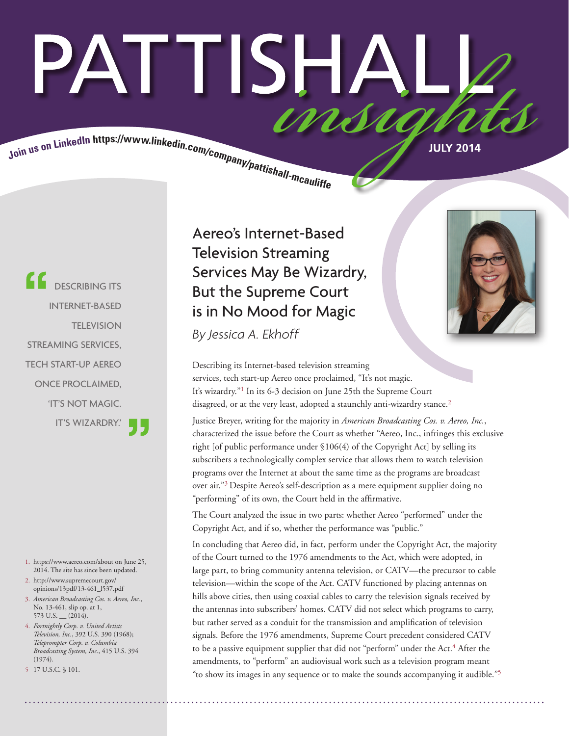# PATTISHA Join us on LinkedIn https://www.linkedin.com/company/pattishall-mcaulity.

**CONSERVANCE ITS** INTERNET-BASED **TELEVISION** STREAMING SERVICES, TECH START-UP AEREO ONCE PROCLAIMED, 'IT'S NOT MAGIC. IT'S WIZARDRY.'

- 1. https://www.aereo.com/about on June 25, 2014. The site has since been updated.
- 2. http://www.supremecourt.gov/ opinions/13pdf/13-461\_l537.pdf
- 3. *American Broadcasting Cos. v. Aereo, Inc.*, No. 13-461, slip op. at 1,  $573$  U.S.  $(2014)$ .
- 4. *Fortnightly Corp. v. United Artists Television, Inc.*, 392 U.S. 390 (1968); *Teleprompter Corp. v. Columbia Broadcasting System, Inc.*, 415 U.S. 394 (1974).
- 5 17 U.S.C. § 101.

 Aereo's Internet-Based Television Streaming Services May Be Wizardry, But the Supreme Court is in No Mood for Magic



Describing its Internet-based television streaming services, tech start-up Aereo once proclaimed, "It's not magic. It's wizardry."1 In its 6-3 decision on June 25th the Supreme Court disagreed, or at the very least, adopted a staunchly anti-wizardry stance.<sup>2</sup>

Justice Breyer, writing for the majority in *American Broadcasting Cos. v. Aereo, Inc.*, characterized the issue before the Court as whether "Aereo, Inc., infringes this exclusive right [of public performance under §106(4) of the Copyright Act] by selling its subscribers a technologically complex service that allows them to watch television programs over the Internet at about the same time as the programs are broadcast over air."3 Despite Aereo's self-description as a mere equipment supplier doing no "performing" of its own, the Court held in the affirmative.

The Court analyzed the issue in two parts: whether Aereo "performed" under the Copyright Act, and if so, whether the performance was "public."

In concluding that Aereo did, in fact, perform under the Copyright Act, the majority of the Court turned to the 1976 amendments to the Act, which were adopted, in large part, to bring community antenna television, or CATV—the precursor to cable television—within the scope of the Act. CATV functioned by placing antennas on hills above cities, then using coaxial cables to carry the television signals received by the antennas into subscribers' homes. CATV did not select which programs to carry, but rather served as a conduit for the transmission and amplification of television signals. Before the 1976 amendments, Supreme Court precedent considered CATV to be a passive equipment supplier that did not "perform" under the Act.<sup>4</sup> After the amendments, to "perform" an audiovisual work such as a television program meant "to show its images in any sequence or to make the sounds accompanying it audible."5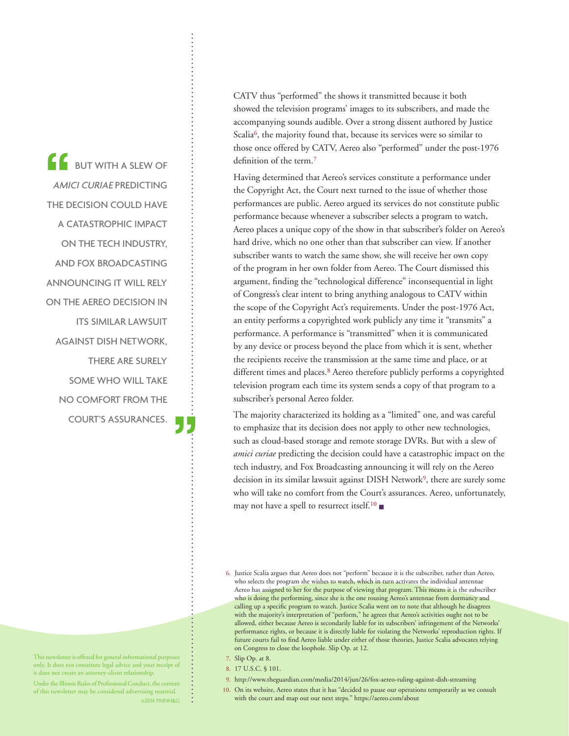BUT WITH A SLEW OF AMICI CURIAE PREDICTING THE DECISION COULD HAVE A CATASTROPHIC IMPACT ON THE TECH INDUSTRY, AND FOX BROADCASTING ANNOUNCING IT WILL RELY ON THE AEREO DECISION IN ITS SIMILAR LAWSUIT AGAINST DISH NETWORK, THERE ARE SURELY SOME WHO WILL TAKE NO COMFORT FROM THE COURT'S ASSURANCES. CATV thus "performed" the shows it transmitted because it both showed the television programs' images to its subscribers, and made the accompanying sounds audible. Over a strong dissent authored by Justice Scalia<sup>6</sup>, the majority found that, because its services were so similar to those once offered by CATV, Aereo also "performed" under the post-1976 definition of the term.7

Having determined that Aereo's services constitute a performance under the Copyright Act, the Court next turned to the issue of whether those performances are public. Aereo argued its services do not constitute public performance because whenever a subscriber selects a program to watch, Aereo places a unique copy of the show in that subscriber's folder on Aereo's hard drive, which no one other than that subscriber can view. If another subscriber wants to watch the same show, she will receive her own copy of the program in her own folder from Aereo. The Court dismissed this argument, finding the "technological difference" inconsequential in light of Congress's clear intent to bring anything analogous to CATV within the scope of the Copyright Act's requirements. Under the post-1976 Act, an entity performs a copyrighted work publicly any time it "transmits" a performance. A performance is "transmitted" when it is communicated by any device or process beyond the place from which it is sent, whether the recipients receive the transmission at the same time and place, or at different times and places.<sup>8</sup> Aereo therefore publicly performs a copyrighted television program each time its system sends a copy of that program to a subscriber's personal Aereo folder.

The majority characterized its holding as a "limited" one, and was careful to emphasize that its decision does not apply to other new technologies, such as cloud-based storage and remote storage DVRs. But with a slew of *amici curiae* predicting the decision could have a catastrophic impact on the tech industry, and Fox Broadcasting announcing it will rely on the Aereo decision in its similar lawsuit against DISH Network<sup>9</sup>, there are surely some who will take no comfort from the Court's assurances. Aereo, unfortunately, may not have a spell to resurrect itself.<sup>10</sup>

- 7. Slip Op. at 8.
- 8. 17 U.S.C. § 101.
- 9. http://www.theguardian.com/media/2014/jun/26/fox-aereo-ruling-against-dish-streaming
- 10. On its website, Aereo states that it has "decided to pause our operations temporarily as we consult with the court and map out our next steps." https://aereo.com/about

This newsletter is offered for general informational purposes only. It does not constitute legal advice and your receipt of it does not create an attorney-client relationship.

Under the Illinois Rules of Professional Conduct, the content of this newsletter may be considered advertising material. ©2014 PMNH&G

<sup>6.</sup> Justice Scalia argues that Aereo does not "perform" because it is the subscriber, rather than Aereo, who selects the program she wishes to watch, which in turn activates the individual antennae Aereo has assigned to her for the purpose of viewing that program. This means it is the subscriber who is doing the performing, since she is the one rousing Aereo's antennae from dormancy and calling up a specific program to watch. Justice Scalia went on to note that although he disagrees with the majority's interpretation of "perform," he agrees that Aereo's activities ought not to be allowed, either because Aereo is secondarily liable for its subscribers' infringement of the Networks' performance rights, or because it is directly liable for violating the Networks' reproduction rights. If future courts fail to find Aereo liable under either of those theories, Justice Scalia advocates relying on Congress to close the loophole. Slip Op. at 12.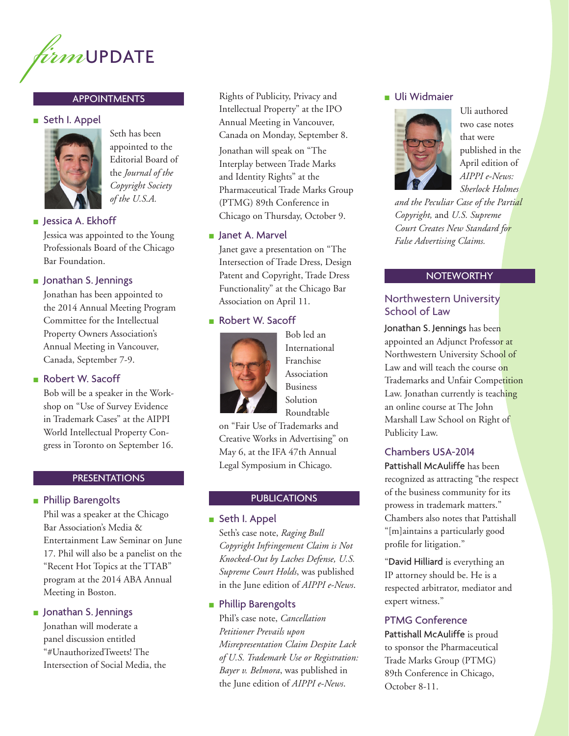

# **APPOINTMENTS**

### ■ Seth I. Appel



Seth has been appointed to the Editorial Board of the *Journal of the Copyright Society of the U.S.A.*

### ■ Jessica A. Ekhoff

Jessica was appointed to the Young Professionals Board of the Chicago Bar Foundation.

### ■ Jonathan S. Jennings

Jonathan has been appointed to the 2014 Annual Meeting Program Committee for the Intellectual Property Owners Association's Annual Meeting in Vancouver, Canada, September 7-9.

# ■ Robert W. Sacoff

Bob will be a speaker in the Workshop on "Use of Survey Evidence in Trademark Cases" at the AIPPI World Intellectual Property Congress in Toronto on September 16.

# PRESENTATIONS

# ■ Phillip Barengolts

Phil was a speaker at the Chicago Bar Association's Media & Entertainment Law Seminar on June 17. Phil will also be a panelist on the "Recent Hot Topics at the TTAB" program at the 2014 ABA Annual Meeting in Boston.

## ■ Jonathan S. Jennings

Jonathan will moderate a panel discussion entitled "#UnauthorizedTweets! The Intersection of Social Media, the

Rights of Publicity, Privacy and Intellectual Property" at the IPO Annual Meeting in Vancouver, Canada on Monday, September 8.

Jonathan will speak on "The Interplay between Trade Marks and Identity Rights" at the Pharmaceutical Trade Marks Group (PTMG) 89th Conference in Chicago on Thursday, October 9.

# ■ Janet A. Marvel

Janet gave a presentation on "The Intersection of Trade Dress, Design Patent and Copyright, Trade Dress Functionality" at the Chicago Bar Association on April 11.

# ■ Robert W. Sacoff



Bob led an International Franchise Association Business Solution Roundtable

on "Fair Use of Trademarks and Creative Works in Advertising" on May 6, at the IFA 47th Annual Legal Symposium in Chicago.

# **PUBLICATIONS**

■ Seth I. Appel

Seth's case note, *Raging Bull Copyright Infringement Claim is Not Knocked-Out by Laches Defense, U.S. Supreme Court Holds*, was published in the June edition of *AIPPI e-News*.

# ■ Phillip Barengolts

Phil's case note, *Cancellation Petitioner Prevails upon Misrepresentation Claim Despite Lack of U.S. Trademark Use or Registration: Bayer v. Belmora*, was published in the June edition of *AIPPI e-News*.

# ■ Uli Widmaier



Uli authored two case notes that were published in the April edition of *AIPPI e-News: Sherlock Holmes* 

*and the Peculiar Case of the Partial Copyright,* and *U.S. Supreme Court Creates New Standard for False Advertising Claims.*

## **NOTEWORTHY**

# Northwestern University School of Law

Jonathan S. Jennings has been appointed an Adjunct Professor at Northwestern University School of Law and will teach the course on Trademarks and Unfair Competition Law. Jonathan currently is teaching an online course at The John Marshall Law School on Right of Publicity Law.

# Chambers USA-2014

Pattishall McAuliffe has been recognized as attracting "the respect of the business community for its prowess in trademark matters." Chambers also notes that Pattishall "[m]aintains a particularly good profile for litigation."

"David Hilliard is everything an IP attorney should be. He is a respected arbitrator, mediator and expert witness."

### PTMG Conference

Pattishall McAuliffe is proud to sponsor the Pharmaceutical Trade Marks Group (PTMG) 89th Conference in Chicago, October 8-11.